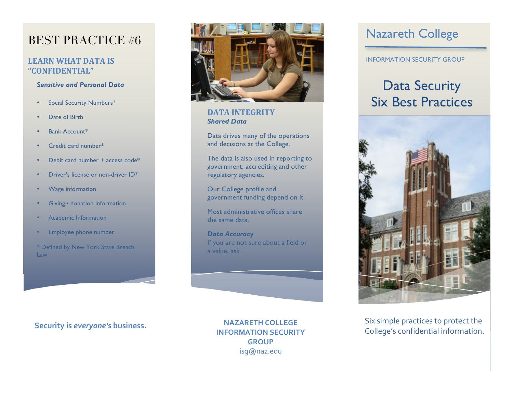### BEST PRACTICE #6

### **LEARN WHAT DATA IS "CONFIDENTIAL"**

#### *Sensitive and Personal Data*

- Social Security Numbers\*
- Date of Birth
- Bank Account\*
- Credit card number\*
- Debit card number + access code\*
- Driver's license or non-driver ID\*
- Wage information
- Giving / donation information
- Academic Information
- Employee phone number

\* Defined by New York State Breach Law



#### **DATA INTEGRITY** *Shared Data*

Data drives many of the operations and decisions at the College.

The data is also used in reporting to government, accrediting and other regulatory agencies.

Our College profile and government funding depend on it.

Most administrative offices share the same data.

*Data Accuracy*  If you are not sure about a field or a value, ask.

**NAZARETH!COLLEGE INFORMATION SECURITY GROUP** isg@naz.edu

### Nazareth College

INFORMATION SECURITY GROUP

## Data Security Six Best Practices



Six simple practices to protect the **College's information. Security is everyone's business.**<br>INFORMATION SECURITY **Security** College's confidential information.